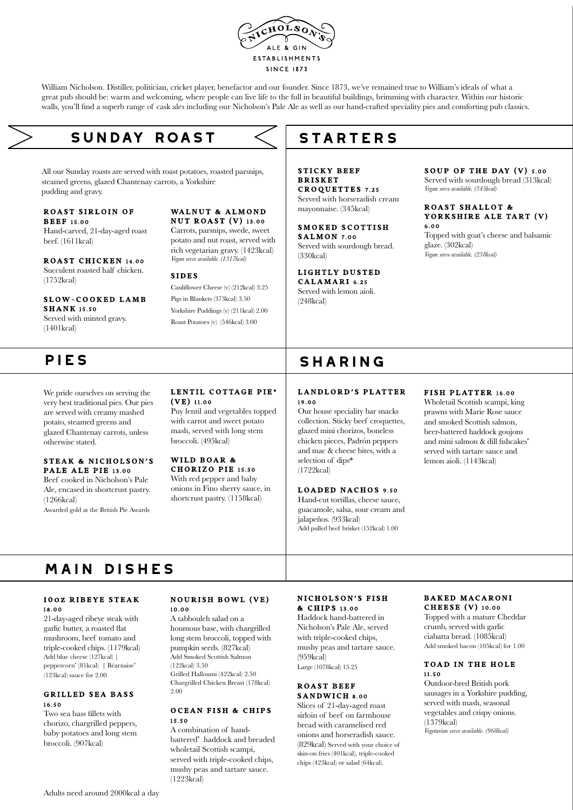

William Nicholson. Distiller, politician, cricket player, benefactor and our founder. Since 1873, we've remained true to William's ideals of what a great pub should be: warm and welcoming, where people can live life to the full in beautiful buildings, brimming with character. Within our historic walls, you'll find a superb range of cask ales including our Nicholson's Pale Ale as well as our hand-crafted speciality pies and comforting pub classics.

# **sunday roast**

All our Sunday roasts are served with roast potatoes, roasted parsnips, steamed greens, glazed Chantenay carrots, a Yorkshire pudding and gravy.

#### ROAST SIRLOIN OF **BEEF 15.00**

Hand-carved, 21-day-aged roast beef. (1611kcal)

ROAST CHICKEN 14.00 Succulent roasted half chicken. (1752kcal)

SLOW-COOKED LAMB

SHANK 15.50 Served with minted gravy. (1401kcal)

We pride ourselves on serving the very best traditional pies. Our pies are served with creamy mashed potato, steamed greens and glazed Chantenay carrots, unless otherwise stated.

#### STEAK & NICHOLSON'S PALE ALE PIE 13.00

Beef cooked in Nicholson's Pale Ale, encased in shortcrust pastry. (1266kcal)

Awarded gold at the British Pie Awards

#### WALNUT & ALMOND NUT ROAST (V) 13.00

Carrots, parsnips, swede, sweet potato and nut roast, served with rich vegetarian gravy. (1423kcal) *Vegan serve available. (1317kcal)*

#### SIDES

(VE) 11.00

Cauliflower Cheese (v) (212kcal) 3.25 Pigs in Blankets (373kcal) 3.50 Yorkshire Puddings (v) (211kcal) 2.00 Roast Potatoes (v) (546kcal) 3.00

LENTIL COTTAGE PIE\*

Puy lentil and vegetables topped with carrot and sweet potato mash, served with long stem broccoli. (495kcal) WILD BOAR & CHORIZO PIE 15.50 With red pepper and baby onions in Fino sherry sauce, in shortcrust pastry. (1158kcal)

### **STARTERS**

STICKY BEEF **BRISKET** CROQUETTES 7.25 Served with horseradish cream mayonnaise. (345kcal)

SMOKED SCOTTISH SALMON 7.00 Served with sourdough bread. (330kcal)

#### LIGHTLY DUSTED CALAMARI 6.25

Served with lemon aioli. (248kcal)

### SOUP OF THE DAY  $(V)$  5.00

Served with sourdough bread (313kcal) *Vegan serve available. (345kcal)*

#### ROAST SHALLOT & YORKSHIRE ALE TART (V) 6.00

Topped with goat's cheese and balsamic glaze. (302kcal) *Vegan serve available. (238kcal)*

## PIES SHARING

### LANDLORD'S PLATTER 19.00

Our house speciality bar snacks collection. Sticky beef croquettes, glazed mini chorizos, boneless chicken pieces, Padrón peppers and mac & cheese bites, with a selection of dips\* (1722kcal)

#### LOADED NACHOS 9.50

Hand-cut tortillas, cheese sauce, guacamole, salsa, sour cream and jalapeños. (933kcal) Add pulled beef brisket (152kcal) 1.00

#### FISH PLATTER 16.00

Wholetail Scottish scampi, king prawns with Marie Rose sauce and smoked Scottish salmon, beer-battered haddock goujons and mini salmon & dill fishcakes\* served with tartare sauce and lemon aioli. (1143kcal)

# **main dishes**

#### 10 oz RIBEYE STEAK 18.00

21-day-aged ribeye steak with garlic butter, a roasted flat mushroom, beef tomato and triple-cooked chips. (1179kcal) Add blue cheese (127kcal) | peppercorn\* (81kcal) | Béarnaise\* (123kcal) sauce for 2.00

#### GRILLED SEA BASS 16.50

Two sea bass fillets with chorizo, chargrilled peppers, baby potatoes and long stem broccoli. (907kcal)

#### **NOURISH BOWL (VE)** 10.00

A tabbouleh salad on a houmous base, with chargrilled long stem broccoli, topped with pumpkin seeds. (827kcal) Add Smoked Scottish Salmon (122kcal) 3.50 Grilled Halloumi (422kcal) 2.50 Chargrilled Chicken Breast (178kcal) 2.00

#### OCEAN FISH & CHIPS 15.50

A combination of handbattered\* haddock and breaded wholetail Scottish scampi, served with triple-cooked chips, mushy peas and tartare sauce. (1223kcal)

#### NICHOLSON'S FISH & CHIPS 13.00

Haddock hand-battered in Nicholson's Pale Ale, served with triple-cooked chips, mushy peas and tartare sauce.  $(959kcal)$ 

Large (1078kcal) 15.25

#### ROAST BEEF SANDWICH 8.00

Slices of 21-day-aged roast sirloin of beef on farmhouse bread with caramelised red onions and horseradish sauce. (829kcal) Served with your choice of skin-on fries (401kcal), triple-cooked chips (423kcal) or salad (64kcal).

#### BAKED MACARONI CHEESE (V) 10.00

Topped with a mature Cheddar crumb, served with garlic ciabatta bread. (1085kcal) Add smoked bacon (105kcal) for 1.00

#### TOAD IN THE HOLE 11.50

Outdoor-bred British pork sausages in a Yorkshire pudding, served with mash, seasonal vegetables and crispy onions. (1379kcal) *Vegetarian serve available. (968kcal)*